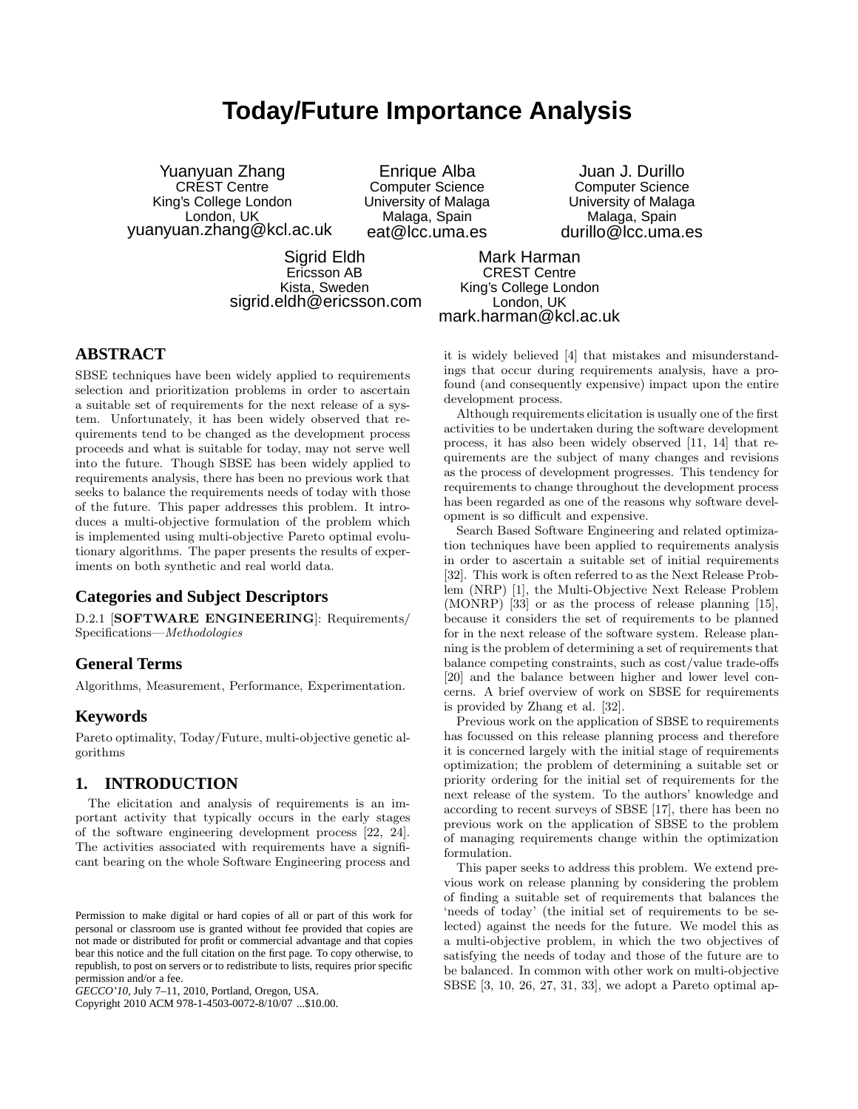# **Today/Future Importance Analysis**

Yuanyuan Zhang CREST Centre King's College London London, UK yuanyuan.zhang@kcl.ac.uk

Enrique Alba Computer Science University of Malaga Malaga, Spain eat@lcc.uma.es

Juan J. Durillo Computer Science University of Malaga Malaga, Spain durillo@lcc.uma.es

Sigrid Eldh Ericsson AB Kista, Sweden sigrid.eldh@ericsson.com

Mark Harman CREST Centre King's College London London, UK mark.harman@kcl.ac.uk

# **ABSTRACT**

SBSE techniques have been widely applied to requirements selection and prioritization problems in order to ascertain a suitable set of requirements for the next release of a system. Unfortunately, it has been widely observed that requirements tend to be changed as the development process proceeds and what is suitable for today, may not serve well into the future. Though SBSE has been widely applied to requirements analysis, there has been no previous work that seeks to balance the requirements needs of today with those of the future. This paper addresses this problem. It introduces a multi-objective formulation of the problem which is implemented using multi-objective Pareto optimal evolutionary algorithms. The paper presents the results of experiments on both synthetic and real world data.

# **Categories and Subject Descriptors**

D.2.1 [**SOFTWARE ENGINEERING**]: Requirements/ Specifications—*Methodologies*

### **General Terms**

Algorithms, Measurement, Performance, Experimentation.

#### **Keywords**

Pareto optimality, Today/Future, multi-objective genetic algorithms

# **1. INTRODUCTION**

The elicitation and analysis of requirements is an important activity that typically occurs in the early stages of the software engineering development process [22, 24]. The activities associated with requirements have a significant bearing on the whole Software Engineering process and

Copyright 2010 ACM 978-1-4503-0072-8/10/07 ...\$10.00.

it is widely believed [4] that mistakes and misunderstandings that occur during requirements analysis, have a profound (and consequently expensive) impact upon the entire development process.

Although requirements elicitation is usually one of the first activities to be undertaken during the software development process, it has also been widely observed [11, 14] that requirements are the subject of many changes and revisions as the process of development progresses. This tendency for requirements to change throughout the development process has been regarded as one of the reasons why software development is so difficult and expensive.

Search Based Software Engineering and related optimization techniques have been applied to requirements analysis in order to ascertain a suitable set of initial requirements [32]. This work is often referred to as the Next Release Problem (NRP) [1], the Multi-Objective Next Release Problem (MONRP) [33] or as the process of release planning [15], because it considers the set of requirements to be planned for in the next release of the software system. Release planning is the problem of determining a set of requirements that balance competing constraints, such as cost/value trade-offs [20] and the balance between higher and lower level concerns. A brief overview of work on SBSE for requirements is provided by Zhang et al. [32].

Previous work on the application of SBSE to requirements has focussed on this release planning process and therefore it is concerned largely with the initial stage of requirements optimization; the problem of determining a suitable set or priority ordering for the initial set of requirements for the next release of the system. To the authors' knowledge and according to recent surveys of SBSE [17], there has been no previous work on the application of SBSE to the problem of managing requirements change within the optimization formulation.

This paper seeks to address this problem. We extend previous work on release planning by considering the problem of finding a suitable set of requirements that balances the 'needs of today' (the initial set of requirements to be selected) against the needs for the future. We model this as a multi-objective problem, in which the two objectives of satisfying the needs of today and those of the future are to be balanced. In common with other work on multi-objective SBSE [3, 10, 26, 27, 31, 33], we adopt a Pareto optimal ap-

Permission to make digital or hard copies of all or part of this work for personal or classroom use is granted without fee provided that copies are not made or distributed for profit or commercial advantage and that copies bear this notice and the full citation on the first page. To copy otherwise, to republish, to post on servers or to redistribute to lists, requires prior specific permission and/or a fee.

*GECCO'10,* July 7–11, 2010, Portland, Oregon, USA.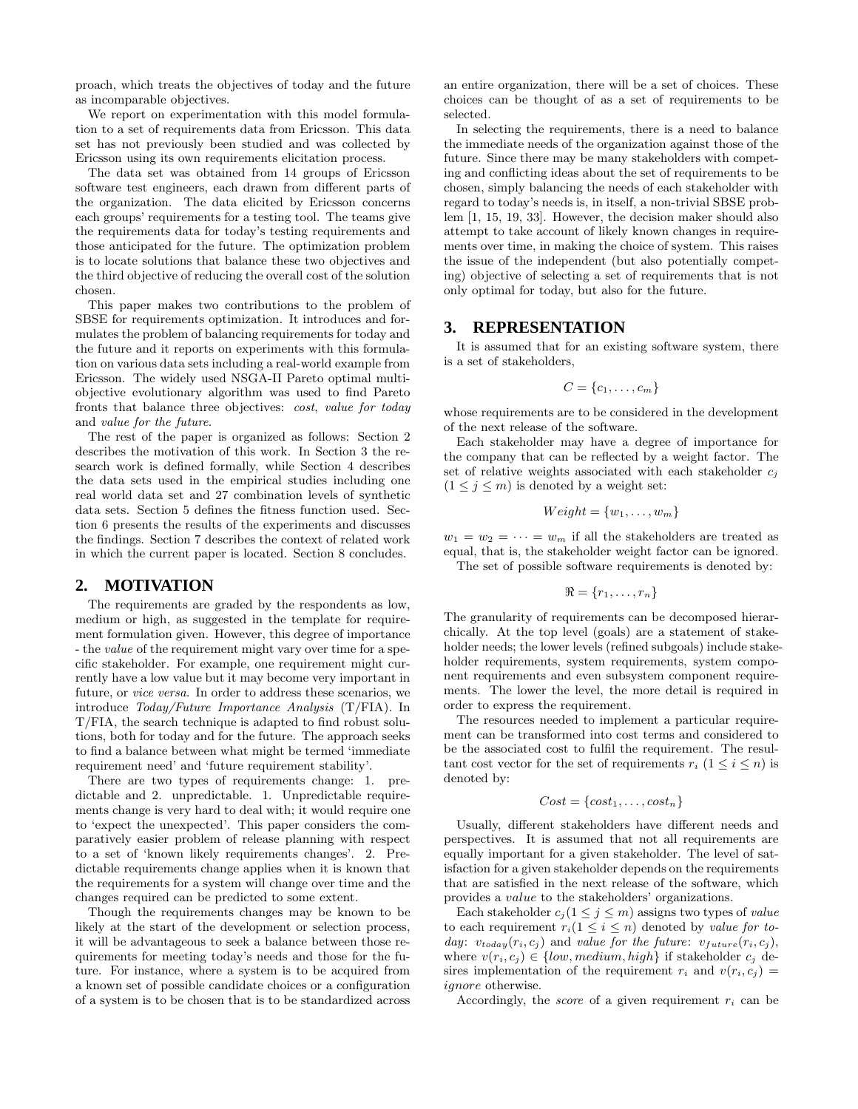proach, which treats the objectives of today and the future as incomparable objectives.

We report on experimentation with this model formulation to a set of requirements data from Ericsson. This data set has not previously been studied and was collected by Ericsson using its own requirements elicitation process.

The data set was obtained from 14 groups of Ericsson software test engineers, each drawn from different parts of the organization. The data elicited by Ericsson concerns each groups' requirements for a testing tool. The teams give the requirements data for today's testing requirements and those anticipated for the future. The optimization problem is to locate solutions that balance these two objectives and the third objective of reducing the overall cost of the solution chosen.

This paper makes two contributions to the problem of SBSE for requirements optimization. It introduces and formulates the problem of balancing requirements for today and the future and it reports on experiments with this formulation on various data sets including a real-world example from Ericsson. The widely used NSGA-II Pareto optimal multiobjective evolutionary algorithm was used to find Pareto fronts that balance three objectives: *cost*, *value for today* and *value for the future*.

The rest of the paper is organized as follows: Section 2 describes the motivation of this work. In Section 3 the research work is defined formally, while Section 4 describes the data sets used in the empirical studies including one real world data set and 27 combination levels of synthetic data sets. Section 5 defines the fitness function used. Section 6 presents the results of the experiments and discusses the findings. Section 7 describes the context of related work in which the current paper is located. Section 8 concludes.

#### **2. MOTIVATION**

The requirements are graded by the respondents as low, medium or high, as suggested in the template for requirement formulation given. However, this degree of importance - the *value* of the requirement might vary over time for a specific stakeholder. For example, one requirement might currently have a low value but it may become very important in future, or *vice versa*. In order to address these scenarios, we introduce *Today/Future Importance Analysis* (T/FIA). In T/FIA, the search technique is adapted to find robust solutions, both for today and for the future. The approach seeks to find a balance between what might be termed 'immediate requirement need' and 'future requirement stability'.

There are two types of requirements change: 1. predictable and 2. unpredictable. 1. Unpredictable requirements change is very hard to deal with; it would require one to 'expect the unexpected'. This paper considers the comparatively easier problem of release planning with respect to a set of 'known likely requirements changes'. 2. Predictable requirements change applies when it is known that the requirements for a system will change over time and the changes required can be predicted to some extent.

Though the requirements changes may be known to be likely at the start of the development or selection process, it will be advantageous to seek a balance between those requirements for meeting today's needs and those for the future. For instance, where a system is to be acquired from a known set of possible candidate choices or a configuration of a system is to be chosen that is to be standardized across

an entire organization, there will be a set of choices. These choices can be thought of as a set of requirements to be selected.

In selecting the requirements, there is a need to balance the immediate needs of the organization against those of the future. Since there may be many stakeholders with competing and conflicting ideas about the set of requirements to be chosen, simply balancing the needs of each stakeholder with regard to today's needs is, in itself, a non-trivial SBSE problem [1, 15, 19, 33]. However, the decision maker should also attempt to take account of likely known changes in requirements over time, in making the choice of system. This raises the issue of the independent (but also potentially competing) objective of selecting a set of requirements that is not only optimal for today, but also for the future.

#### **3. REPRESENTATION**

It is assumed that for an existing software system, there is a set of stakeholders,

$$
C = \{c_1, \ldots, c_m\}
$$

whose requirements are to be considered in the development of the next release of the software.

Each stakeholder may have a degree of importance for the company that can be reflected by a weight factor. The set of relative weights associated with each stakeholder *c<sup>j</sup>*  $(1 \leq j \leq m)$  is denoted by a weight set:

$$
Weight = \{w_1, \ldots, w_m\}
$$

 $w_1 = w_2 = \cdots = w_m$  if all the stakeholders are treated as equal, that is, the stakeholder weight factor can be ignored.

The set of possible software requirements is denoted by:

$$
\mathfrak{R} = \{r_1, \ldots, r_n\}
$$

The granularity of requirements can be decomposed hierarchically. At the top level (goals) are a statement of stakeholder needs; the lower levels (refined subgoals) include stakeholder requirements, system requirements, system component requirements and even subsystem component requirements. The lower the level, the more detail is required in order to express the requirement.

The resources needed to implement a particular requirement can be transformed into cost terms and considered to be the associated cost to fulfil the requirement. The resultant cost vector for the set of requirements  $r_i$  ( $1 \leq i \leq n$ ) is denoted by:

$$
Cost = \{cost_1, \ldots, cost_n\}
$$

Usually, different stakeholders have different needs and perspectives. It is assumed that not all requirements are equally important for a given stakeholder. The level of satisfaction for a given stakeholder depends on the requirements that are satisfied in the next release of the software, which provides a *value* to the stakeholders' organizations.

Each stakeholder  $c_j$  ( $1 \leq j \leq m$ ) assigns two types of *value* to each requirement  $r_i(1 \leq i \leq n)$  denoted by *value for today*:  $v_{today}(r_i, c_j)$  and *value for the future*:  $v_{future}(r_i, c_j)$ , where  $v(r_i, c_i) \in \{low, medium, high\}$  if stakeholder  $c_i$  desires implementation of the requirement  $r_i$  and  $v(r_i, c_j)$ *ignore* otherwise.

Accordingly, the *score* of a given requirement  $r_i$  can be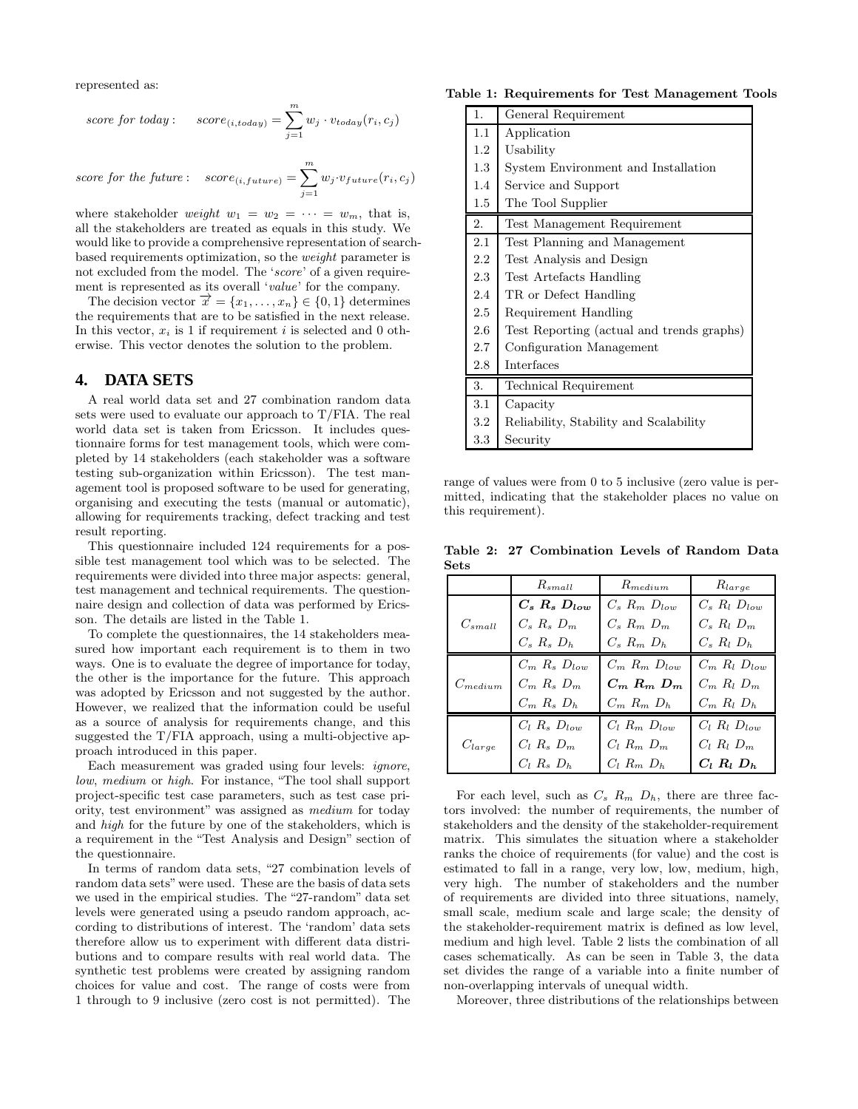represented as:

score for today : 
$$
score_{(i, today)} = \sum_{j=1}^{m} w_j \cdot v_{today}(r_i, c_j)
$$

score for the future: 
$$
score_{(i, future)} = \sum_{j=1}^{m} w_j \cdot v_{future}(r_i, c_j)
$$

where stakeholder *weight*  $w_1 = w_2 = \cdots = w_m$ , that is, all the stakeholders are treated as equals in this study. We would like to provide a comprehensive representation of searchbased requirements optimization, so the *weight* parameter is not excluded from the model. The '*score*' of a given requirement is represented as its overall '*value*' for the company.

The decision vector  $\vec{x} = \{x_1, \ldots, x_n\} \in \{0, 1\}$  determines the requirements that are to be satisfied in the next release. In this vector,  $x_i$  is 1 if requirement  $i$  is selected and 0 otherwise. This vector denotes the solution to the problem.

#### **4. DATA SETS**

A real world data set and 27 combination random data sets were used to evaluate our approach to T/FIA. The real world data set is taken from Ericsson. It includes questionnaire forms for test management tools, which were completed by 14 stakeholders (each stakeholder was a software testing sub-organization within Ericsson). The test management tool is proposed software to be used for generating, organising and executing the tests (manual or automatic), allowing for requirements tracking, defect tracking and test result reporting.

This questionnaire included 124 requirements for a possible test management tool which was to be selected. The requirements were divided into three major aspects: general, test management and technical requirements. The questionnaire design and collection of data was performed by Ericsson. The details are listed in the Table 1.

To complete the questionnaires, the 14 stakeholders measured how important each requirement is to them in two ways. One is to evaluate the degree of importance for today, the other is the importance for the future. This approach was adopted by Ericsson and not suggested by the author. However, we realized that the information could be useful as a source of analysis for requirements change, and this suggested the T/FIA approach, using a multi-objective approach introduced in this paper.

Each measurement was graded using four levels: *ignore*, *low*, *medium* or *high*. For instance, "The tool shall support project-specific test case parameters, such as test case priority, test environment" was assigned as *medium* for today and *high* for the future by one of the stakeholders, which is a requirement in the "Test Analysis and Design" section of the questionnaire.

In terms of random data sets, "27 combination levels of random data sets"were used. These are the basis of data sets we used in the empirical studies. The "27-random" data set levels were generated using a pseudo random approach, according to distributions of interest. The 'random' data sets therefore allow us to experiment with different data distributions and to compare results with real world data. The synthetic test problems were created by assigning random choices for value and cost. The range of costs were from 1 through to 9 inclusive (zero cost is not permitted). The

**Table 1: Requirements for Test Management Tools**

| 1.      | General Requirement                       |  |  |
|---------|-------------------------------------------|--|--|
| 1.1     | Application                               |  |  |
| $1.2\,$ | Usability                                 |  |  |
| $1.3\,$ | System Environment and Installation       |  |  |
| 1.4     | Service and Support                       |  |  |
| 1.5     | The Tool Supplier                         |  |  |
| 2.      | Test Management Requirement               |  |  |
| 2.1     | Test Planning and Management              |  |  |
| 2.2     | Test Analysis and Design                  |  |  |
| 2.3     | Test Artefacts Handling                   |  |  |
| 2.4     | TR or Defect Handling                     |  |  |
| 2.5     | Requirement Handling                      |  |  |
| 2.6     | Test Reporting (actual and trends graphs) |  |  |
| 2.7     | Configuration Management                  |  |  |
| 2.8     | Interfaces                                |  |  |
| 3.      | Technical Requirement                     |  |  |
| 3.1     | Capacity                                  |  |  |
| $3.2\,$ | Reliability, Stability and Scalability    |  |  |
| 3.3     | Security                                  |  |  |

range of values were from 0 to 5 inclusive (zero value is permitted, indicating that the stakeholder places no value on this requirement).

**Table 2: 27 Combination Levels of Random Data Sets**

|              | $R_{small}$           | $R_{medium}$        | $R_{large}$       |
|--------------|-----------------------|---------------------|-------------------|
|              | $C_s R_s D_{low}$     | $C_s R_m D_{low}$   | $C_s R_l D_{low}$ |
| $C_{small}$  | $C_s$ $R_s$ $D_m$     | $C_s R_m D_m$       | $C_s R_l D_m$     |
|              | $C_s$ $R_s$ $D_h$     | $C_s R_m D_h$       | $C_s R_l D_h$     |
|              | $C_m R_s D_{low}$     | $C_m R_m D_{low}$   | $C_m R_l D_{low}$ |
| $C_{medium}$ | $C_m R_s D_m$         | $C_m \; R_m \; D_m$ | $C_m R_l D_m$     |
|              | $C_m R_s D_h$         | $C_m R_m D_h$       | $C_m R_l D_h$     |
|              | $C_l$ $R_s$ $D_{low}$ | $C_l R_m D_{low}$   | $C_l R_l D_{low}$ |
| $C_{large}$  | $C_l R_s D_m$         | $C_l R_m D_m$       | $C_l R_l D_m$     |
|              | $C_l R_s D_h$         | $C_l R_m D_h$       | $C_l R_l D_h$     |

For each level, such as  $C_s$   $R_m$   $D_h$ , there are three factors involved: the number of requirements, the number of stakeholders and the density of the stakeholder-requirement matrix. This simulates the situation where a stakeholder ranks the choice of requirements (for value) and the cost is estimated to fall in a range, very low, low, medium, high, very high. The number of stakeholders and the number of requirements are divided into three situations, namely, small scale, medium scale and large scale; the density of the stakeholder-requirement matrix is defined as low level, medium and high level. Table 2 lists the combination of all cases schematically. As can be seen in Table 3, the data set divides the range of a variable into a finite number of non-overlapping intervals of unequal width.

Moreover, three distributions of the relationships between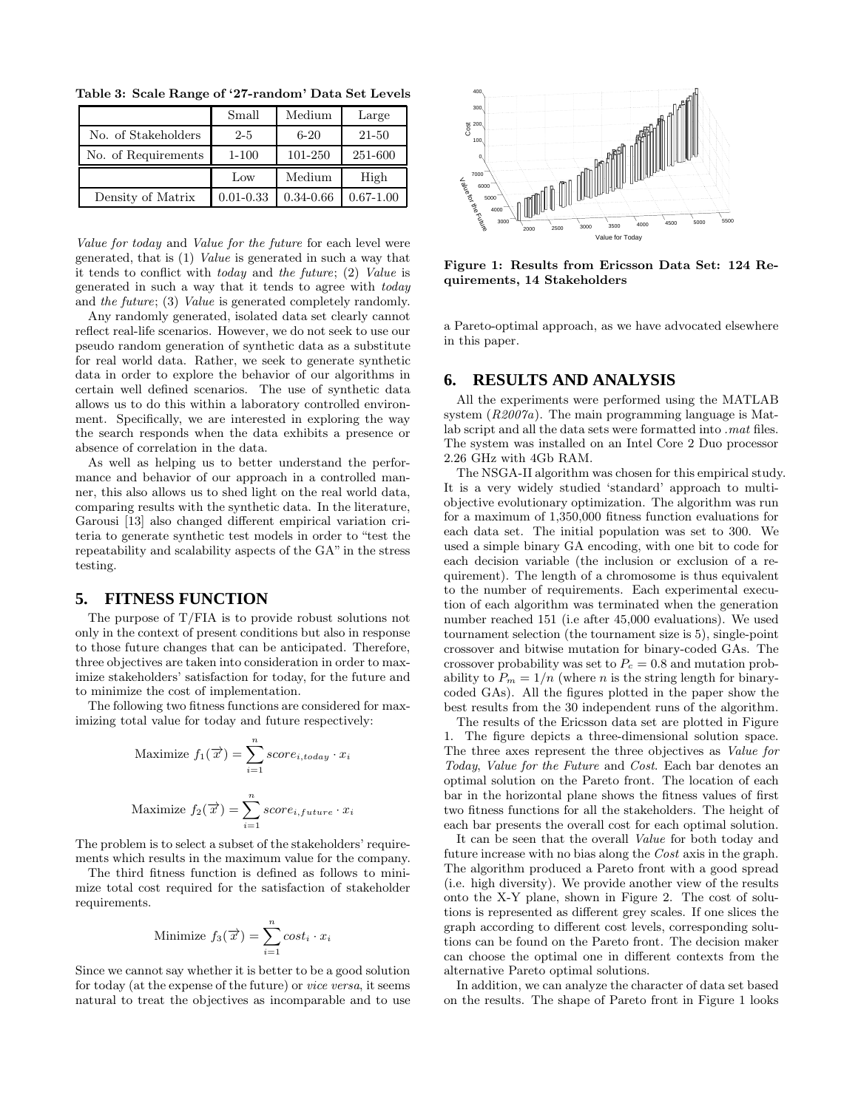**Table 3: Scale Range of '27-random' Data Set Levels**

|                     | Small         | Medium        | Large         |
|---------------------|---------------|---------------|---------------|
| No. of Stakeholders | $2 - 5$       | $6-20$        | 21-50         |
| No. of Requirements | $1 - 100$     | 101-250       | 251-600       |
|                     | Low           | Medium        | High          |
| Density of Matrix   | $0.01 - 0.33$ | $0.34 - 0.66$ | $0.67 - 1.00$ |

*Value for today* and *Value for the future* for each level were generated, that is (1) *Value* is generated in such a way that it tends to conflict with *today* and *the future*; (2) *Value* is generated in such a way that it tends to agree with *today* and *the future*; (3) *Value* is generated completely randomly.

Any randomly generated, isolated data set clearly cannot reflect real-life scenarios. However, we do not seek to use our pseudo random generation of synthetic data as a substitute for real world data. Rather, we seek to generate synthetic data in order to explore the behavior of our algorithms in certain well defined scenarios. The use of synthetic data allows us to do this within a laboratory controlled environment. Specifically, we are interested in exploring the way the search responds when the data exhibits a presence or absence of correlation in the data.

As well as helping us to better understand the performance and behavior of our approach in a controlled manner, this also allows us to shed light on the real world data, comparing results with the synthetic data. In the literature, Garousi [13] also changed different empirical variation criteria to generate synthetic test models in order to "test the repeatability and scalability aspects of the GA" in the stress testing.

#### **5. FITNESS FUNCTION**

The purpose of T/FIA is to provide robust solutions not only in the context of present conditions but also in response to those future changes that can be anticipated. Therefore, three objectives are taken into consideration in order to maximize stakeholders' satisfaction for today, for the future and to minimize the cost of implementation.

The following two fitness functions are considered for maximizing total value for today and future respectively:

Maximize 
$$
f_1(\vec{x}) = \sum_{i=1}^n score_{i, today} \cdot x_i
$$
  
\nMaximize  $f_2(\vec{x}) = \sum_{i=1}^n score_{i, future} \cdot x_i$ 

The problem is to select a subset of the stakeholders' requirements which results in the maximum value for the company.

The third fitness function is defined as follows to minimize total cost required for the satisfaction of stakeholder requirements.

Minimize 
$$
f_3(\vec{x}) = \sum_{i=1}^n cost_i \cdot x_i
$$

Since we cannot say whether it is better to be a good solution for today (at the expense of the future) or *vice versa*, it seems natural to treat the objectives as incomparable and to use



**Figure 1: Results from Ericsson Data Set: 124 Requirements, 14 Stakeholders**

a Pareto-optimal approach, as we have advocated elsewhere in this paper.

#### **6. RESULTS AND ANALYSIS**

All the experiments were performed using the MATLAB system (*R2007a*). The main programming language is Matlab script and all the data sets were formatted into *.mat* files. The system was installed on an Intel Core 2 Duo processor 2.26 GHz with 4Gb RAM.

The NSGA-II algorithm was chosen for this empirical study. It is a very widely studied 'standard' approach to multiobjective evolutionary optimization. The algorithm was run for a maximum of 1,350,000 fitness function evaluations for each data set. The initial population was set to 300. We used a simple binary GA encoding, with one bit to code for each decision variable (the inclusion or exclusion of a requirement). The length of a chromosome is thus equivalent to the number of requirements. Each experimental execution of each algorithm was terminated when the generation number reached 151 (i.e after 45,000 evaluations). We used tournament selection (the tournament size is 5), single-point crossover and bitwise mutation for binary-coded GAs. The crossover probability was set to  $P_c = 0.8$  and mutation probability to  $P_m = 1/n$  (where *n* is the string length for binarycoded GAs). All the figures plotted in the paper show the best results from the 30 independent runs of the algorithm.

The results of the Ericsson data set are plotted in Figure 1. The figure depicts a three-dimensional solution space. The three axes represent the three objectives as *Value for Today*, *Value for the Future* and *Cost*. Each bar denotes an optimal solution on the Pareto front. The location of each bar in the horizontal plane shows the fitness values of first two fitness functions for all the stakeholders. The height of each bar presents the overall cost for each optimal solution.

It can be seen that the overall *Value* for both today and future increase with no bias along the *Cost* axis in the graph. The algorithm produced a Pareto front with a good spread (i.e. high diversity). We provide another view of the results onto the X-Y plane, shown in Figure 2. The cost of solutions is represented as different grey scales. If one slices the graph according to different cost levels, corresponding solutions can be found on the Pareto front. The decision maker can choose the optimal one in different contexts from the alternative Pareto optimal solutions.

In addition, we can analyze the character of data set based on the results. The shape of Pareto front in Figure 1 looks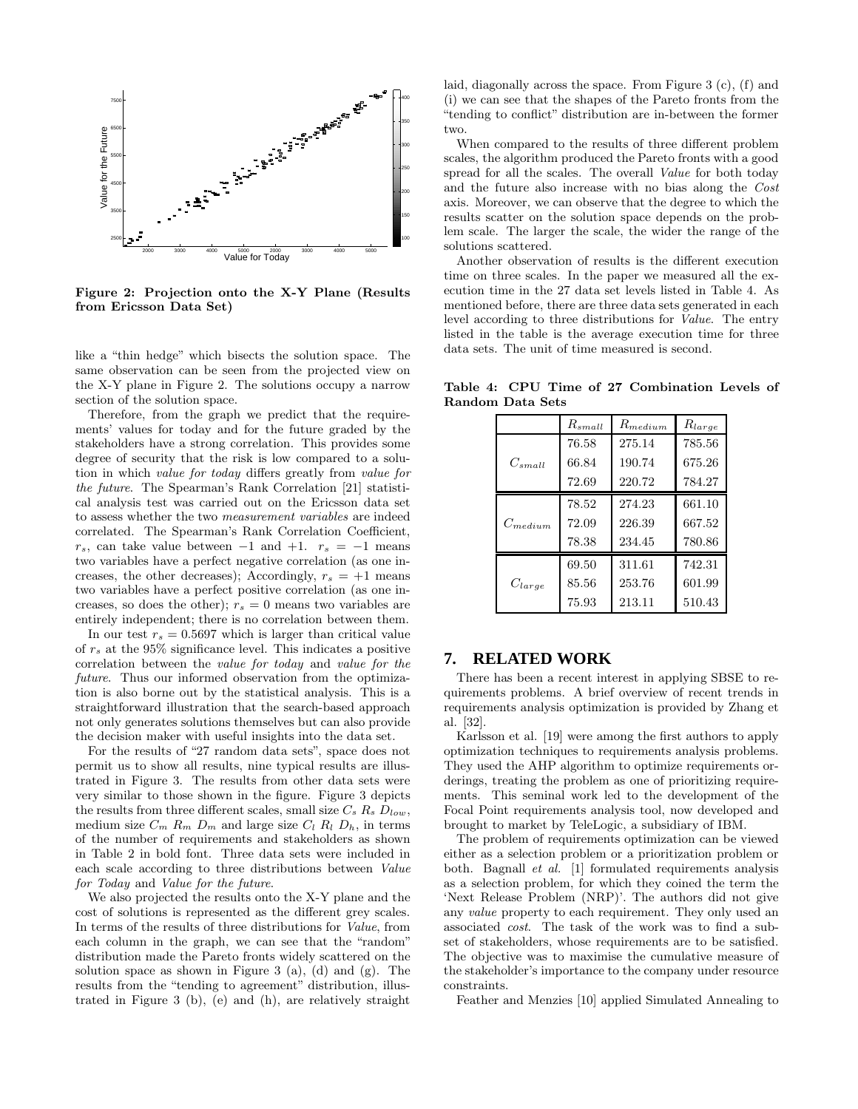

**Figure 2: Projection onto the X-Y Plane (Results from Ericsson Data Set)**

like a "thin hedge" which bisects the solution space. The same observation can be seen from the projected view on the X-Y plane in Figure 2. The solutions occupy a narrow section of the solution space.

Therefore, from the graph we predict that the requirements' values for today and for the future graded by the stakeholders have a strong correlation. This provides some degree of security that the risk is low compared to a solution in which *value for today* differs greatly from *value for the future*. The Spearman's Rank Correlation [21] statistical analysis test was carried out on the Ericsson data set to assess whether the two *measurement variables* are indeed correlated. The Spearman's Rank Correlation Coefficient,  $r_s$ , can take value between −1 and +1.  $r_s = -1$  means two variables have a perfect negative correlation (as one increases, the other decreases); Accordingly,  $r_s = +1$  means two variables have a perfect positive correlation (as one increases, so does the other);  $r_s = 0$  means two variables are entirely independent; there is no correlation between them.

In our test  $r_s = 0.5697$  which is larger than critical value of *r<sup>s</sup>* at the 95% significance level. This indicates a positive correlation between the *value for today* and *value for the future*. Thus our informed observation from the optimization is also borne out by the statistical analysis. This is a straightforward illustration that the search-based approach not only generates solutions themselves but can also provide the decision maker with useful insights into the data set.

For the results of "27 random data sets", space does not permit us to show all results, nine typical results are illustrated in Figure 3. The results from other data sets were very similar to those shown in the figure. Figure 3 depicts the results from three different scales, small size  $C_s$   $R_s$   $D_{low}$ , medium size  $C_m$   $R_m$   $D_m$  and large size  $C_l$   $R_l$   $D_h$ , in terms of the number of requirements and stakeholders as shown in Table 2 in bold font. Three data sets were included in each scale according to three distributions between *Value for Today* and *Value for the future*.

We also projected the results onto the X-Y plane and the cost of solutions is represented as the different grey scales. In terms of the results of three distributions for *Value*, from each column in the graph, we can see that the "random" distribution made the Pareto fronts widely scattered on the solution space as shown in Figure 3 (a), (d) and (g). The results from the "tending to agreement" distribution, illustrated in Figure 3 (b), (e) and (h), are relatively straight laid, diagonally across the space. From Figure 3 (c), (f) and (i) we can see that the shapes of the Pareto fronts from the "tending to conflict" distribution are in-between the former two.

When compared to the results of three different problem scales, the algorithm produced the Pareto fronts with a good spread for all the scales. The overall *Value* for both today and the future also increase with no bias along the *Cost* axis. Moreover, we can observe that the degree to which the results scatter on the solution space depends on the problem scale. The larger the scale, the wider the range of the solutions scattered.

Another observation of results is the different execution time on three scales. In the paper we measured all the execution time in the 27 data set levels listed in Table 4. As mentioned before, there are three data sets generated in each level according to three distributions for *Value*. The entry listed in the table is the average execution time for three data sets. The unit of time measured is second.

**Table 4: CPU Time of 27 Combination Levels of Random Data Sets**

|              | $R_{small}$ | $R_{medium}$ | $R_{large}$ |
|--------------|-------------|--------------|-------------|
|              | 76.58       | 275.14       | 785.56      |
| $C_{small}$  | 66.84       | 190.74       | 675.26      |
|              | 72.69       | 220.72       | 784.27      |
|              | 78.52       | 274.23       | 661.10      |
| $C_{medium}$ | 72.09       | 226.39       | 667.52      |
|              | 78.38       | 234.45       | 780.86      |
|              | 69.50       | 311.61       | 742.31      |
| $C_{large}$  | 85.56       | 253.76       | 601.99      |
|              | 75.93       | 213.11       | 510.43      |

#### **7. RELATED WORK**

There has been a recent interest in applying SBSE to requirements problems. A brief overview of recent trends in requirements analysis optimization is provided by Zhang et al. [32].

Karlsson et al. [19] were among the first authors to apply optimization techniques to requirements analysis problems. They used the AHP algorithm to optimize requirements orderings, treating the problem as one of prioritizing requirements. This seminal work led to the development of the Focal Point requirements analysis tool, now developed and brought to market by TeleLogic, a subsidiary of IBM.

The problem of requirements optimization can be viewed either as a selection problem or a prioritization problem or both. Bagnall *et al.* [1] formulated requirements analysis as a selection problem, for which they coined the term the 'Next Release Problem (NRP)'. The authors did not give any *value* property to each requirement. They only used an associated *cost*. The task of the work was to find a subset of stakeholders, whose requirements are to be satisfied. The objective was to maximise the cumulative measure of the stakeholder's importance to the company under resource constraints.

Feather and Menzies [10] applied Simulated Annealing to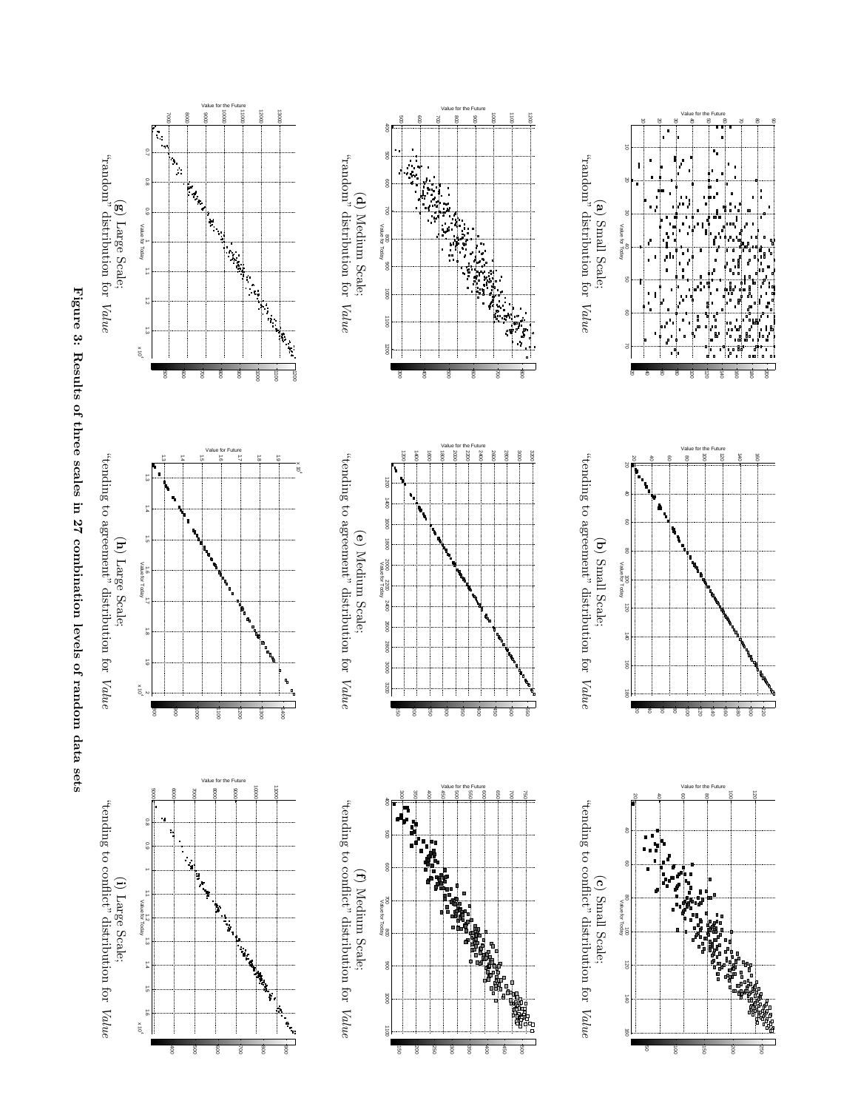

150 200 250 300 350  $\frac{8}{6}$  $\frac{1}{20}$ 500  $\overline{8}$ 

150

200

250

# **Figure 3: Results of three scales in 27 combination levels of random data sets**

 $\ddot{\varepsilon}$  $\frac{8}{2}$ 600  $\approx$ 800 900

Value for the Future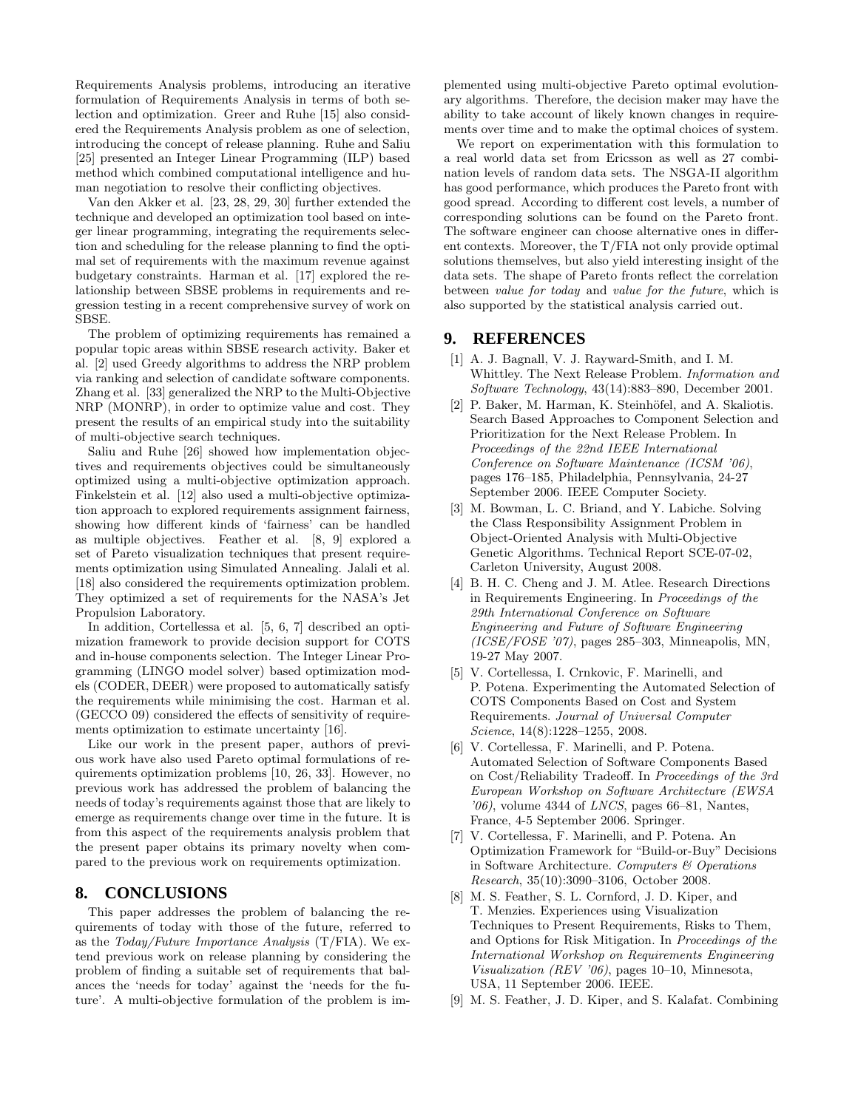Requirements Analysis problems, introducing an iterative formulation of Requirements Analysis in terms of both selection and optimization. Greer and Ruhe [15] also considered the Requirements Analysis problem as one of selection, introducing the concept of release planning. Ruhe and Saliu [25] presented an Integer Linear Programming (ILP) based method which combined computational intelligence and human negotiation to resolve their conflicting objectives.

Van den Akker et al. [23, 28, 29, 30] further extended the technique and developed an optimization tool based on integer linear programming, integrating the requirements selection and scheduling for the release planning to find the optimal set of requirements with the maximum revenue against budgetary constraints. Harman et al. [17] explored the relationship between SBSE problems in requirements and regression testing in a recent comprehensive survey of work on SBSE.

The problem of optimizing requirements has remained a popular topic areas within SBSE research activity. Baker et al. [2] used Greedy algorithms to address the NRP problem via ranking and selection of candidate software components. Zhang et al. [33] generalized the NRP to the Multi-Objective NRP (MONRP), in order to optimize value and cost. They present the results of an empirical study into the suitability of multi-objective search techniques.

Saliu and Ruhe [26] showed how implementation objectives and requirements objectives could be simultaneously optimized using a multi-objective optimization approach. Finkelstein et al. [12] also used a multi-objective optimization approach to explored requirements assignment fairness, showing how different kinds of 'fairness' can be handled as multiple objectives. Feather et al. [8, 9] explored a set of Pareto visualization techniques that present requirements optimization using Simulated Annealing. Jalali et al. [18] also considered the requirements optimization problem. They optimized a set of requirements for the NASA's Jet Propulsion Laboratory.

In addition, Cortellessa et al. [5, 6, 7] described an optimization framework to provide decision support for COTS and in-house components selection. The Integer Linear Programming (LINGO model solver) based optimization models (CODER, DEER) were proposed to automatically satisfy the requirements while minimising the cost. Harman et al. (GECCO 09) considered the effects of sensitivity of requirements optimization to estimate uncertainty [16].

Like our work in the present paper, authors of previous work have also used Pareto optimal formulations of requirements optimization problems [10, 26, 33]. However, no previous work has addressed the problem of balancing the needs of today's requirements against those that are likely to emerge as requirements change over time in the future. It is from this aspect of the requirements analysis problem that the present paper obtains its primary novelty when compared to the previous work on requirements optimization.

#### **8. CONCLUSIONS**

This paper addresses the problem of balancing the requirements of today with those of the future, referred to as the *Today/Future Importance Analysis* (T/FIA). We extend previous work on release planning by considering the problem of finding a suitable set of requirements that balances the 'needs for today' against the 'needs for the future'. A multi-objective formulation of the problem is implemented using multi-objective Pareto optimal evolutionary algorithms. Therefore, the decision maker may have the ability to take account of likely known changes in requirements over time and to make the optimal choices of system.

We report on experimentation with this formulation to a real world data set from Ericsson as well as 27 combination levels of random data sets. The NSGA-II algorithm has good performance, which produces the Pareto front with good spread. According to different cost levels, a number of corresponding solutions can be found on the Pareto front. The software engineer can choose alternative ones in different contexts. Moreover, the T/FIA not only provide optimal solutions themselves, but also yield interesting insight of the data sets. The shape of Pareto fronts reflect the correlation between *value for today* and *value for the future*, which is also supported by the statistical analysis carried out.

# **9. REFERENCES**

- [1] A. J. Bagnall, V. J. Rayward-Smith, and I. M. Whittley. The Next Release Problem. *Information and Software Technology*, 43(14):883–890, December 2001.
- [2] P. Baker, M. Harman, K. Steinhöfel, and A. Skaliotis. Search Based Approaches to Component Selection and Prioritization for the Next Release Problem. In *Proceedings of the 22nd IEEE International Conference on Software Maintenance (ICSM '06)*, pages 176–185, Philadelphia, Pennsylvania, 24-27 September 2006. IEEE Computer Society.
- [3] M. Bowman, L. C. Briand, and Y. Labiche. Solving the Class Responsibility Assignment Problem in Object-Oriented Analysis with Multi-Objective Genetic Algorithms. Technical Report SCE-07-02, Carleton University, August 2008.
- [4] B. H. C. Cheng and J. M. Atlee. Research Directions in Requirements Engineering. In *Proceedings of the 29th International Conference on Software Engineering and Future of Software Engineering (ICSE/FOSE '07)*, pages 285–303, Minneapolis, MN, 19-27 May 2007.
- [5] V. Cortellessa, I. Crnkovic, F. Marinelli, and P. Potena. Experimenting the Automated Selection of COTS Components Based on Cost and System Requirements. *Journal of Universal Computer Science*, 14(8):1228–1255, 2008.
- [6] V. Cortellessa, F. Marinelli, and P. Potena. Automated Selection of Software Components Based on Cost/Reliability Tradeoff. In *Proceedings of the 3rd European Workshop on Software Architecture (EWSA '06)*, volume 4344 of *LNCS*, pages 66–81, Nantes, France, 4-5 September 2006. Springer.
- [7] V. Cortellessa, F. Marinelli, and P. Potena. An Optimization Framework for "Build-or-Buy" Decisions in Software Architecture. *Computers & Operations Research*, 35(10):3090–3106, October 2008.
- [8] M. S. Feather, S. L. Cornford, J. D. Kiper, and T. Menzies. Experiences using Visualization Techniques to Present Requirements, Risks to Them, and Options for Risk Mitigation. In *Proceedings of the International Workshop on Requirements Engineering Visualization (REV '06)*, pages 10–10, Minnesota, USA, 11 September 2006. IEEE.
- [9] M. S. Feather, J. D. Kiper, and S. Kalafat. Combining